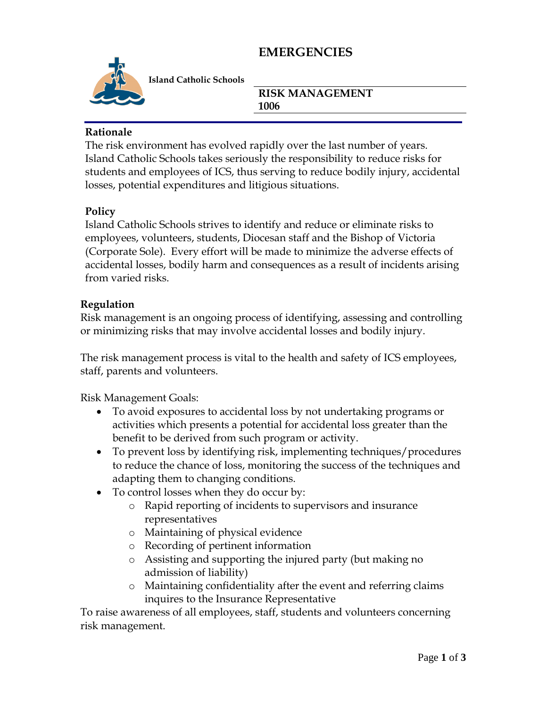# **EMERGENCIES**



**Island Catholic Schools** 

**RISK MANAGEMENT 1006** 

### **Rationale**

The risk environment has evolved rapidly over the last number of years. Island Catholic Schools takes seriously the responsibility to reduce risks for students and employees of ICS, thus serving to reduce bodily injury, accidental losses, potential expenditures and litigious situations.

## **Policy**

Island Catholic Schools strives to identify and reduce or eliminate risks to employees, volunteers, students, Diocesan staff and the Bishop of Victoria (Corporate Sole). Every effort will be made to minimize the adverse effects of accidental losses, bodily harm and consequences as a result of incidents arising from varied risks.

## **Regulation**

Risk management is an ongoing process of identifying, assessing and controlling or minimizing risks that may involve accidental losses and bodily injury.

The risk management process is vital to the health and safety of ICS employees, staff, parents and volunteers.

Risk Management Goals:

- To avoid exposures to accidental loss by not undertaking programs or activities which presents a potential for accidental loss greater than the benefit to be derived from such program or activity.
- To prevent loss by identifying risk, implementing techniques/procedures to reduce the chance of loss, monitoring the success of the techniques and adapting them to changing conditions.
- To control losses when they do occur by:
	- o Rapid reporting of incidents to supervisors and insurance representatives
	- o Maintaining of physical evidence
	- o Recording of pertinent information
	- o Assisting and supporting the injured party (but making no admission of liability)
	- o Maintaining confidentiality after the event and referring claims inquires to the Insurance Representative

To raise awareness of all employees, staff, students and volunteers concerning risk management.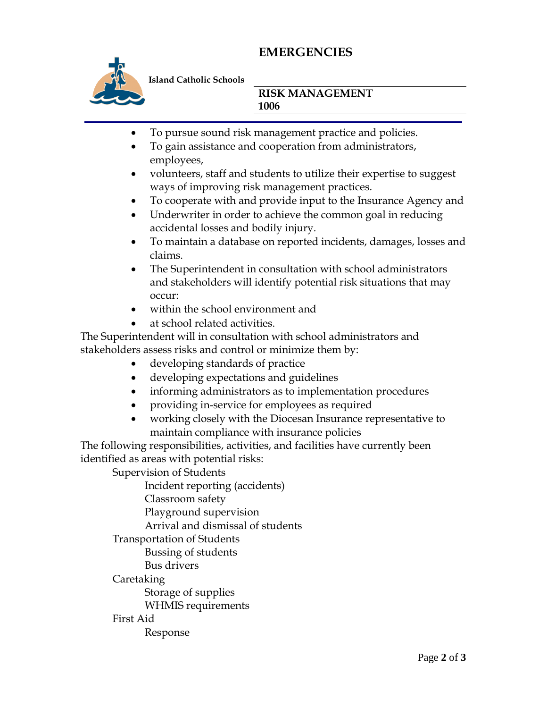# **EMERGENCIES**



**Island Catholic Schools** 

### **RISK MANAGEMENT 1006**

- To pursue sound risk management practice and policies.
- To gain assistance and cooperation from administrators, employees,
- volunteers, staff and students to utilize their expertise to suggest ways of improving risk management practices.
- To cooperate with and provide input to the Insurance Agency and
- Underwriter in order to achieve the common goal in reducing accidental losses and bodily injury.
- To maintain a database on reported incidents, damages, losses and claims.
- The Superintendent in consultation with school administrators and stakeholders will identify potential risk situations that may occur:
- within the school environment and
- at school related activities.

The Superintendent will in consultation with school administrators and stakeholders assess risks and control or minimize them by:

- developing standards of practice
- developing expectations and guidelines
- informing administrators as to implementation procedures
- providing in-service for employees as required
- working closely with the Diocesan Insurance representative to maintain compliance with insurance policies

The following responsibilities, activities, and facilities have currently been identified as areas with potential risks:

Supervision of Students

Incident reporting (accidents)

Classroom safety

Playground supervision

Arrival and dismissal of students

Transportation of Students

Bussing of students

Bus drivers

Caretaking

Storage of supplies

WHMIS requirements

#### First Aid

Response